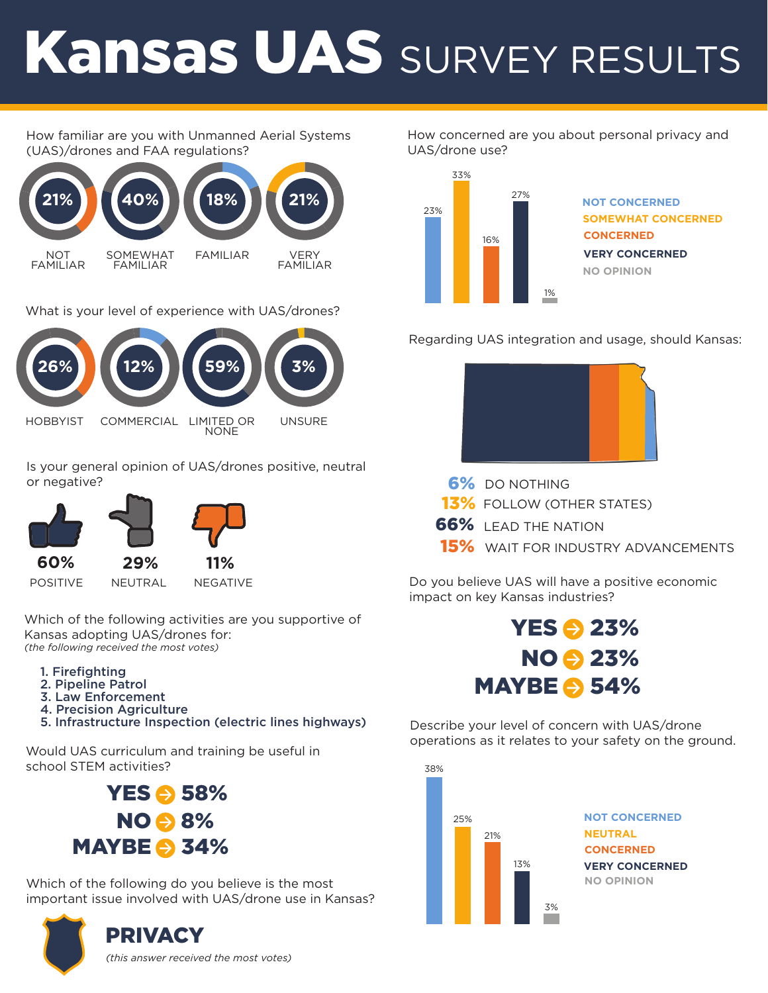# Kansas UAS SURVEY RESULTS

#### How familiar are you with Unmanned Aerial Systems (UAS)/drones and FAA regulations?



What is your level of experience with UAS/drones?



Is your general opinion of UAS/drones positive, neutral or negative?



Which of the following activities are you supportive of Kansas adopting UAS/drones for: *(the following received the most votes)* 

- 1. Firefighting
- 2. Pipeline Patrol
- 3. Law Enforcement
- 4. Precision Agriculture
- 5. Infrastructure Inspection (electric lines highways)

Would UAS curriculum and training be useful in school STEM activities?



Which of the following do you believe is the most important issue involved with UAS/drone use in Kansas?



How concerned are you about personal privacy and UAS/drone use?



Regarding UAS integration and usage, should Kansas:



- 6% DO NOTHING
- 13% FOLLOW (OTHER STATES)
- 66% LEAD THE NATION
- 15% WAIT FOR INDUSTRY ADVANCEMENTS

Do you believe UAS will have a positive economic impact on key Kansas industries?



Describe your level of concern with UAS/drone operations as it relates to your safety on the ground.